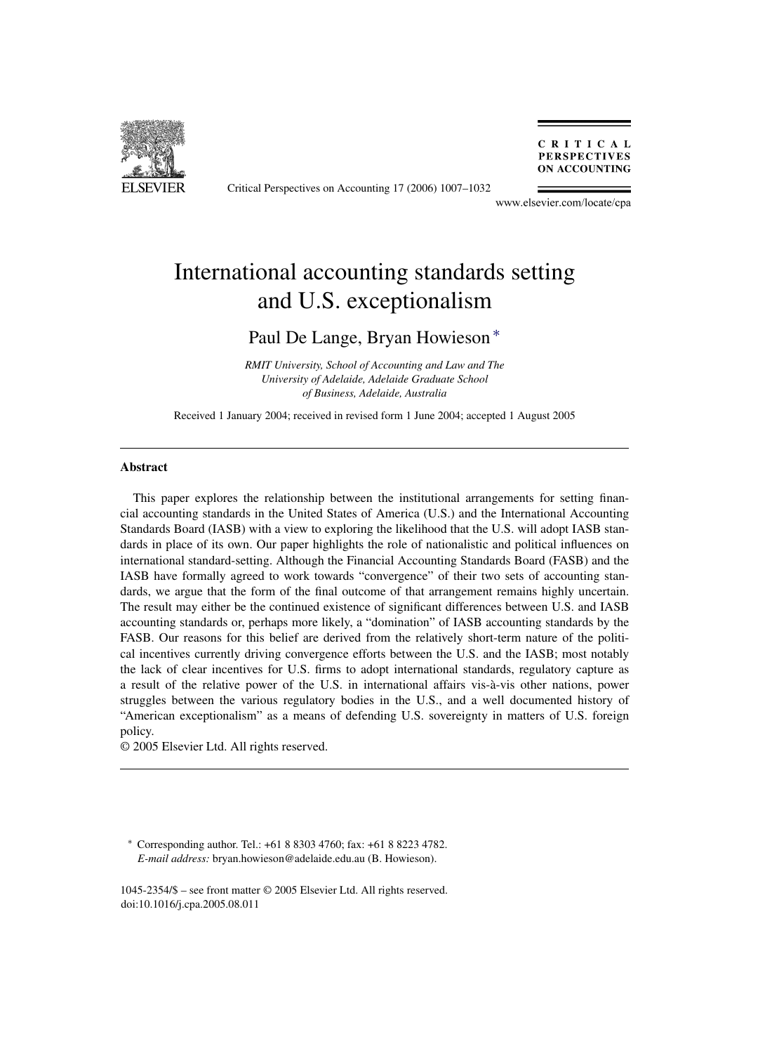

Critical Perspectives on Accounting 17 (2006) 1007–1032

CRITICAL **PERSPECTIVES ON ACCOUNTING** 

www.elsevier.com/locate/cpa

## International accounting standards setting and U.S. exceptionalism

### Paul De Lange, Bryan Howieson ∗

*RMIT University, School of Accounting and Law and The University of Adelaide, Adelaide Graduate School of Business, Adelaide, Australia*

Received 1 January 2004; received in revised form 1 June 2004; accepted 1 August 2005

#### **Abstract**

This paper explores the relationship between the institutional arrangements for setting financial accounting standards in the United States of America (U.S.) and the International Accounting Standards Board (IASB) with a view to exploring the likelihood that the U.S. will adopt IASB standards in place of its own. Our paper highlights the role of nationalistic and political influences on international standard-setting. Although the Financial Accounting Standards Board (FASB) and the IASB have formally agreed to work towards "convergence" of their two sets of accounting standards, we argue that the form of the final outcome of that arrangement remains highly uncertain. The result may either be the continued existence of significant differences between U.S. and IASB accounting standards or, perhaps more likely, a "domination" of IASB accounting standards by the FASB. Our reasons for this belief are derived from the relatively short-term nature of the political incentives currently driving convergence efforts between the U.S. and the IASB; most notably the lack of clear incentives for U.S. firms to adopt international standards, regulatory capture as a result of the relative power of the U.S. in international affairs vis-a-vis other nations, power ` struggles between the various regulatory bodies in the U.S., and a well documented history of "American exceptionalism" as a means of defending U.S. sovereignty in matters of U.S. foreign policy.

© 2005 Elsevier Ltd. All rights reserved.

∗ Corresponding author. Tel.: +61 8 8303 4760; fax: +61 8 8223 4782. *E-mail address:* bryan.howieson@adelaide.edu.au (B. Howieson).

1045-2354/\$ – see front matter © 2005 Elsevier Ltd. All rights reserved. doi:10.1016/j.cpa.2005.08.011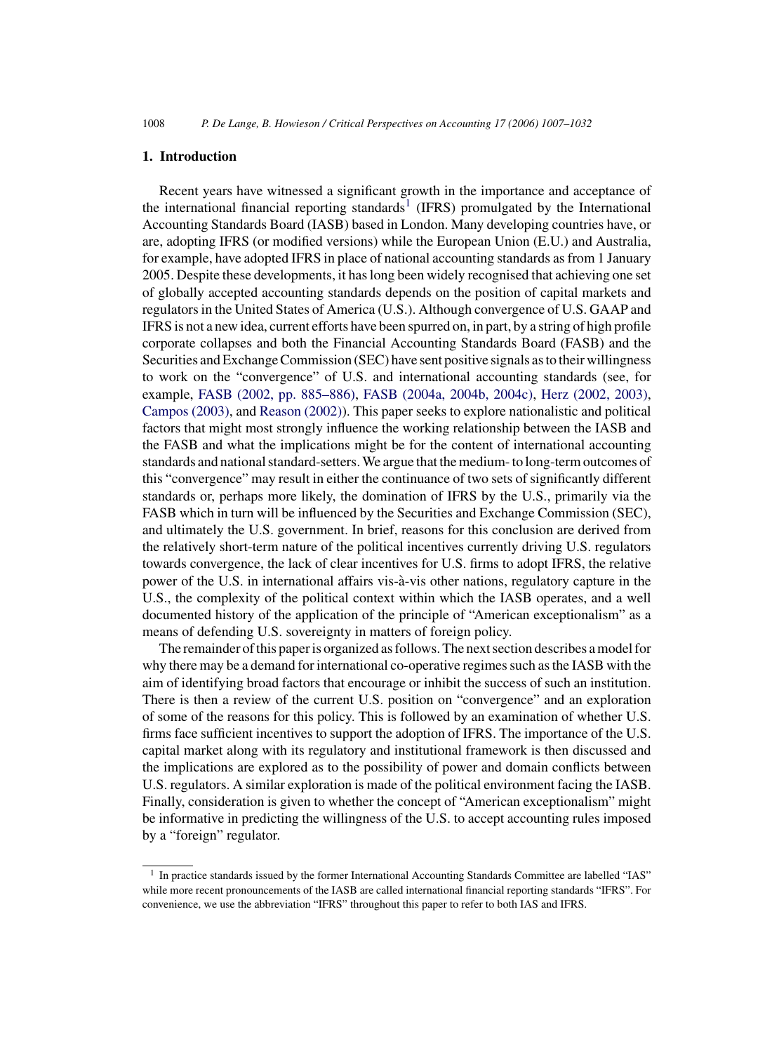1008 *P. De Lange, B. Howieson / Critical Perspectives on Accounting 17 (2006) 1007–1032*

#### **1. Introduction**

Recent years have witnessed a significant growth in the importance and acceptance of the international financial reporting standards<sup>1</sup> (IFRS) promulgated by the International Accounting Standards Board (IASB) based in London. Many developing countries have, or are, adopting IFRS (or modified versions) while the European Union (E.U.) and Australia, for example, have adopted IFRS in place of national accounting standards as from 1 January 2005. Despite these developments, it has long been widely recognised that achieving one set of globally accepted accounting standards depends on the position of capital markets and regulators in the United States of America (U.S.). Although convergence of U.S. GAAP and IFRS is not a new idea, current efforts have been spurred on, in part, by a string of high profile corporate collapses and both the Financial Accounting Standards Board (FASB) and the Securities and Exchange Commission (SEC) have sent positive signals as to their willingness to work on the "convergence" of U.S. and international accounting standards (see, for example, [FASB \(2002, pp. 885–886\),](#page--1-0) [FASB \(2004a, 2004b, 2004c\),](#page--1-0) [Herz \(2002, 2003\),](#page--1-0) [Campos \(2003\), a](#page--1-0)nd [Reason \(2002\)\).](#page--1-0) This paper seeks to explore nationalistic and political factors that might most strongly influence the working relationship between the IASB and the FASB and what the implications might be for the content of international accounting standards and national standard-setters. We argue that the medium- to long-term outcomes of this "convergence" may result in either the continuance of two sets of significantly different standards or, perhaps more likely, the domination of IFRS by the U.S., primarily via the FASB which in turn will be influenced by the Securities and Exchange Commission (SEC), and ultimately the U.S. government. In brief, reasons for this conclusion are derived from the relatively short-term nature of the political incentives currently driving U.S. regulators towards convergence, the lack of clear incentives for U.S. firms to adopt IFRS, the relative power of the U.S. in international affairs vis-a-vis other nations, regulatory capture in the ` U.S., the complexity of the political context within which the IASB operates, and a well documented history of the application of the principle of "American exceptionalism" as a means of defending U.S. sovereignty in matters of foreign policy.

The remainder of this paper is organized as follows. The next section describes a model for why there may be a demand for international co-operative regimes such as the IASB with the aim of identifying broad factors that encourage or inhibit the success of such an institution. There is then a review of the current U.S. position on "convergence" and an exploration of some of the reasons for this policy. This is followed by an examination of whether U.S. firms face sufficient incentives to support the adoption of IFRS. The importance of the U.S. capital market along with its regulatory and institutional framework is then discussed and the implications are explored as to the possibility of power and domain conflicts between U.S. regulators. A similar exploration is made of the political environment facing the IASB. Finally, consideration is given to whether the concept of "American exceptionalism" might be informative in predicting the willingness of the U.S. to accept accounting rules imposed by a "foreign" regulator.

<sup>&</sup>lt;sup>1</sup> In practice standards issued by the former International Accounting Standards Committee are labelled "IAS" while more recent pronouncements of the IASB are called international financial reporting standards "IFRS". For convenience, we use the abbreviation "IFRS" throughout this paper to refer to both IAS and IFRS.